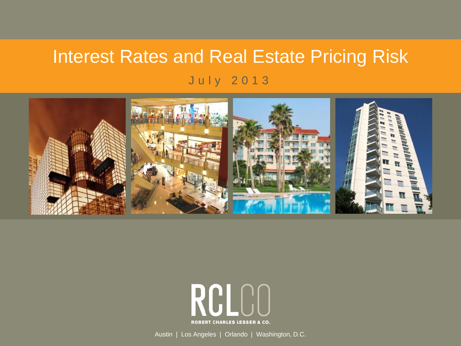## Interest Rates and Real Estate Pricing Risk July 2013





Austin | Los Angeles | Orlando | Washington, D.C.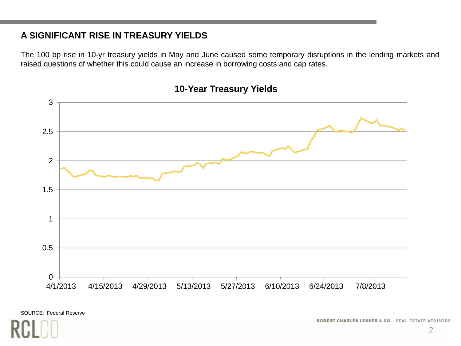#### **A SIGNIFICANT RISE IN TREASURY YIELDS**

The 100 bp rise in 10-yr treasury yields in May and June caused some temporary disruptions in the lending markets and raised questions of whether this could cause an increase in borrowing costs and cap rates.



#### **10-Year Treasury Yields**

SOURCE: Federal Reserve

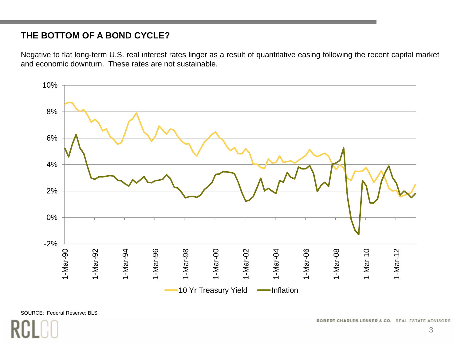#### **THE BOTTOM OF A BOND CYCLE?**

Negative to flat long-term U.S. real interest rates linger as <sup>a</sup> result of quantitative easing following the recent capital market and economic downturn. These rates are not sustainable.

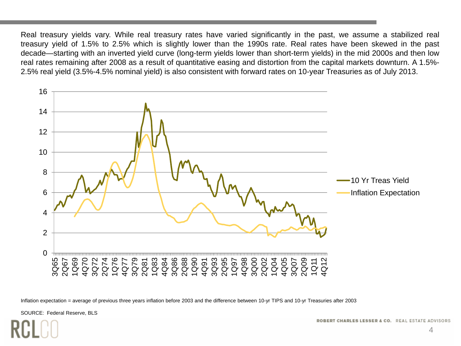Real treasury yields vary. While real treasury rates have varied significantly in the past, we assume <sup>a</sup> stabilized real treasury yield of 1.5% to 2.5% which is slightly lower than the 1990s rate. Real rates have been skewed in the past decade—starting with an inverted yield curve (long-term yields lower than short-term yields) in the mid 2000s and then low real rates remaining after 2008 as <sup>a</sup> result of quantitative easing and distortion from the capital markets downturn. A 1.5%- 2.5% real yield (3.5%-4.5% nominal yield) is also consistent with forward rates on 10-year Treasuries as of July 2013.



Inflation expectation = average of previous three years inflation before 2003 and the difference between 10-yr TIPS and 10-yr Treasuries after 2003

SOURCE: Federal Reserve, BLS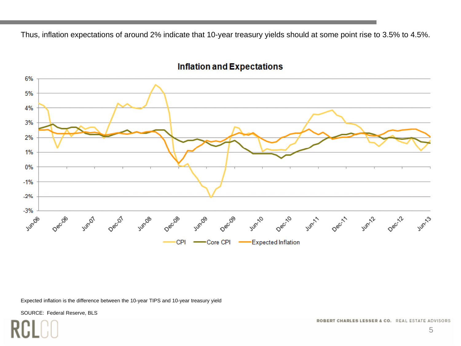Thus, inflation expectations of around 2% indicate that 10-year treasury yields should at some point rise to 3.5% to 4.5%.



#### **Inflation and Expectations**

Expected inflation is the difference between the 10-year TIPS and 10-year treasury yield

SOURCE: Federal Reserve, BLS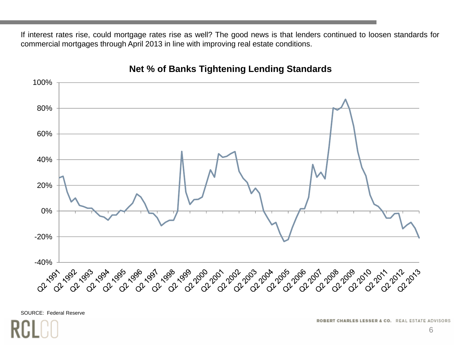If interest rates rise, could mortgage rates rise as well? The good news is that lenders continued to loosen standards for commercial mortgages through April 2013 in line with improving real estate conditions.



#### **Net % of Banks Tightening Lending Standards**

SOURCE: Federal Reserve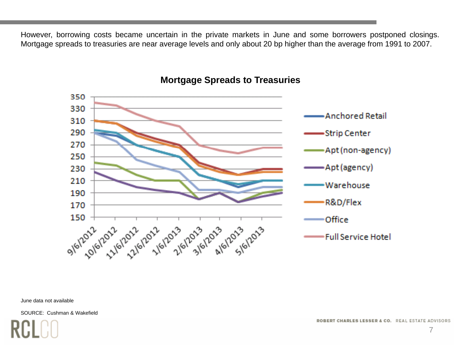However, borrowing costs became uncertain in the private markets in June and some borrowers postponed closings. Mortgage spreads to treasuries are near average levels and only about 20 bp higher than the average from 1991 to 2007.



#### **Mortgage Spreads to Treasuries**

June data not available

SOURCE: Cushman & Wakefield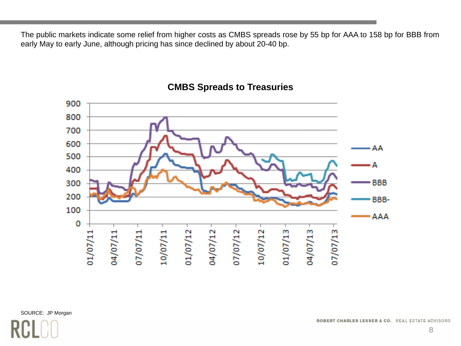The public markets indicate some relief from higher costs as CMBS spreads rose by 55 bp for AAA to 158 bp for BBB from early May to early June, although pricing has since declined by about 20-40 bp.



#### **CMBS Spreads to Treasuries**

SOURCE: JP Morgan

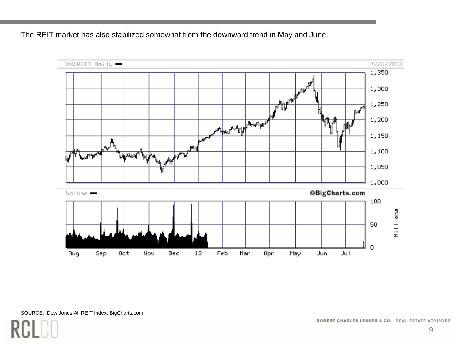The REIT market has also stabilized somewhat from the downward trend in May and June.

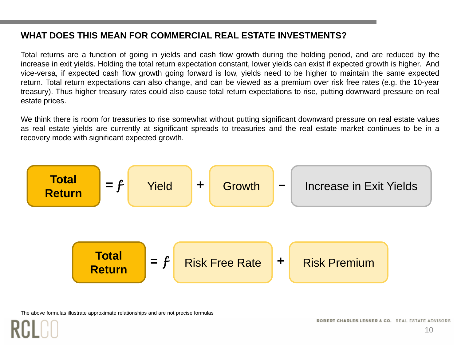#### **WHAT DOES THIS MEAN FOR COMMERCIAL REAL ESTATE INVESTMENTS?**

Total returns are <sup>a</sup> function of going in yields and cash flow growth during the holding period, and are reduced by the increase in exit yields. Holding the total return expectation constant, lower yields can exist if expected growth is higher. And vice-versa, if expected cash flow growth going forward is low, yields need to be higher to maintain the same expected return. Total return expectations can also change, and can be viewed as <sup>a</sup> premium over risk free rates (e.g. the 10-year treasury). Thus higher treasury rates could also cause total return expectations to rise, putting downward pressure on real estate prices.

We think there is room for treasuries to rise somewhat without putting significant downward pressure on real estate values as real estate yields are currently at significant spreads to treasuries and the real estate market continues to be in <sup>a</sup> recovery mode with significant expected growth.



The above formulas illustrate approximate relationships and are not precise formulas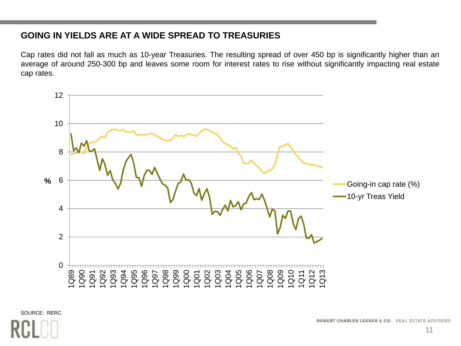#### **GOING IN YIELDS ARE AT A WIDE SPREAD TO TREASURIES**

Cap rates did not fall as much as 10-year Treasuries. The resulting spread of over 450 bp is significantly higher than an average of around 250-300 bp and leaves some room for interest rates to rise without significantly impacting real estate cap rates.



SOURCE: RERC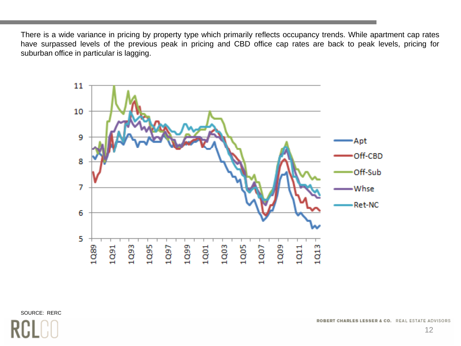There is <sup>a</sup> wide variance in pricing by property type which primarily reflects occupancy trends. While apartment cap rates have surpassed levels of the previous peak in pricing and CBD office cap rates are back to peak levels, pricing for suburban office in particular is lagging.



SOURCE: RERC

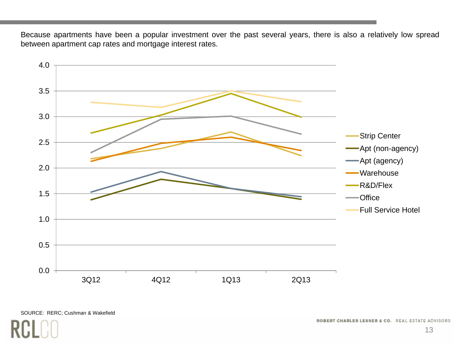Because apartments have been <sup>a</sup> popular investment over the past several years, there is also <sup>a</sup> relatively low spread between apartment cap rates and mortgage interest rates.



#### SOURCE: RERC; Cushman & Wakefield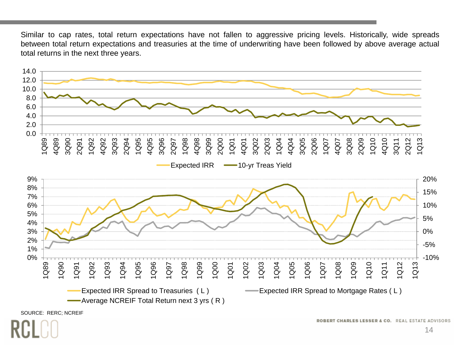Similar to cap rates, total return expectations have not fallen to aggressive pricing levels. Historically, wide spreads between total return expectations and treasuries at the time of underwriting have been followed by above average actual total returns in the next three years.

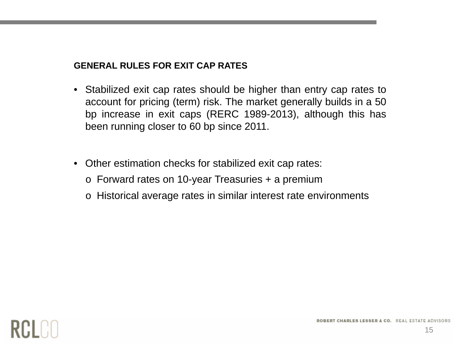#### **GENERAL RULES FOR EXIT CAP RATES**

- Stabilized exit cap rates should be higher than entry cap rates to account for pricing (term) risk. The market generally builds in a 50 bp increase in exit caps (RERC 1989-2013), although this has been running closer to 60 bp since 2011.
- Other estimation checks for stabilized exit cap rates:
	- $\circ~$  Forward rates on 10-year Treasuries + a premium
	- o Historical average rates in similar interest rate environments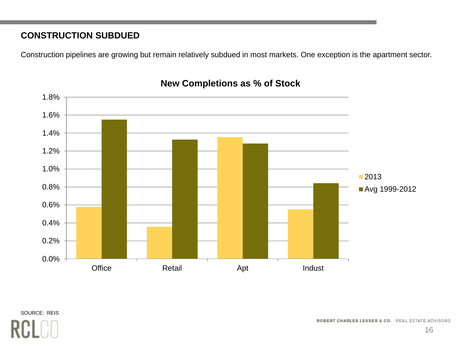### **CONSTRUCTION SUBDUED**

Construction pipelines are growing but remain relatively subdued in most markets. One exception is the apartment sector.



#### **New Completions as % of Stock**

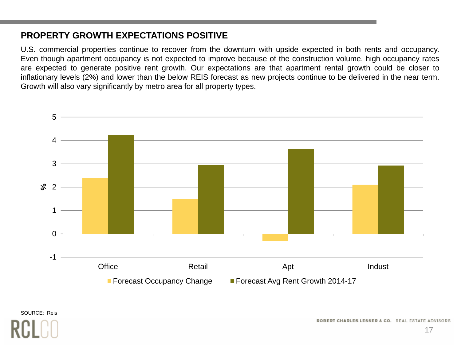#### **PROPERTY GROWTH EXPECTATIONS POSITIVE**

U.S. commercial properties continue to recover from the downturn with upside expected in both rents and occupancy. Even though apartment occupancy is not expected to improve because of the construction volume, high occupancy rates are expected to generate positive rent growth. Our expectations are that apartment rental growth could be closer to inflationary levels (2%) and lower than the below REIS forecast as new projects continue to be delivered in the near term. Growth will also vary significantly by metro area for all property types.



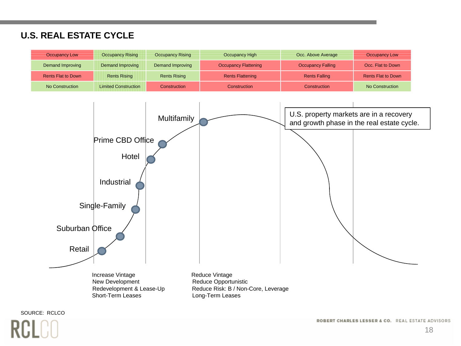### **U.S. REAL ESTATE CYCLE**

| <b>Occupancy Low</b>      | <b>Occupancy Rising</b>     | <b>Occupancy Rising</b> | Occupancy High              | Occ. Above Average       | <b>Occupancy Low</b>      |
|---------------------------|-----------------------------|-------------------------|-----------------------------|--------------------------|---------------------------|
| Demand Improving          | Demand Improving            | Demand Improving        | <b>Occupancy Flattening</b> | <b>Occupancy Falling</b> | Occ. Flat to Down         |
| <b>Rents Flat to Down</b> | <b>Rents Rising</b>         | <b>Rents Rising</b>     | <b>Rents Flattening</b>     | <b>Rents Falling</b>     | <b>Rents Flat to Down</b> |
| No Construction           | <b>Limited Construction</b> | Construction            | Construction                | Construction             | No Construction           |



SOURCE: RCLCO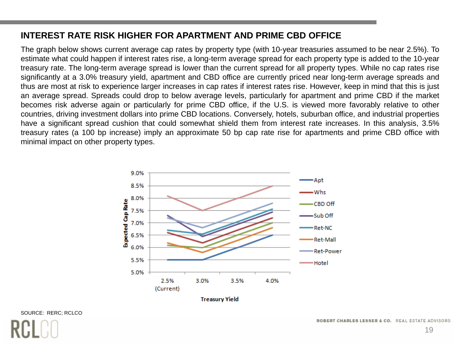#### **INTEREST RATE RISK HIGHER FOR APARTMENT AND PRIME CBD OFFICE**

The graph below shows current average cap rates by property type (with 10-year treasuries assumed to be near 2.5 %). To estimate what could happen if interest rates rise, <sup>a</sup> long-term average spread for each property type is added to the 10-year treasury rate. The long-term average spread is lower than the current spread for all property types. While no cap rates rise significantly at <sup>a</sup> 3.0% treasury yield, apartment and CBD office are currently priced near long-term average spreads and thus are most at risk to experience larger increases in cap rates if interest rates rise. However, keep in mind that this is just an average spread. Spreads could drop to below average levels, particularly for apartment and prime CBD if the market becomes risk adverse again or particularly for prime CBD office, if the U.S. is viewed more favorably relative to other countries, driving investment dollars into prime CBD locations. Conversely, hotels, suburban office, and industrial properties have <sup>a</sup> significant spread cushion that could somewhat shield them from interest rate increases. In this analysis, 3.5% treasury rates (a 100 bp increase) imply an approximate 50 bp cap rate rise for apartments and prime CBD office with minimal impact on other property types.



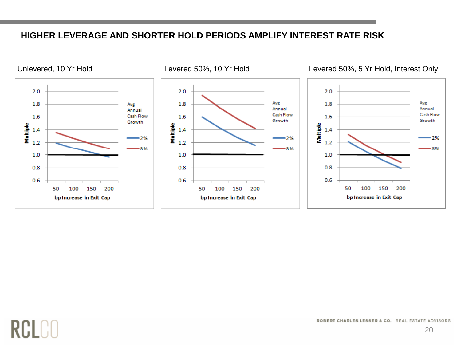#### **HIGHER LEVERAGE AND SHORTER HOLD PERIODS AMPLIFY INTEREST RATE RISK**



# **RCLO**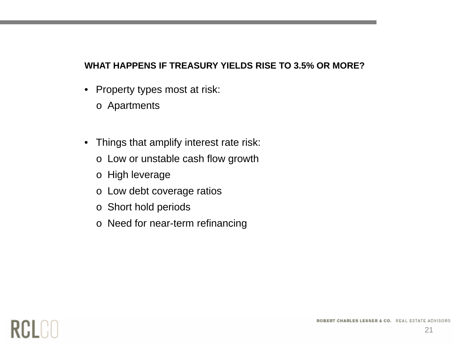#### **WHAT HAPPENS IF TREASURY YIELDS RISE TO 3.5% OR MORE?**

- • Property types most at risk:
	- o Apartments
- Thin gs that amplif y interest rate risk:
	- o Low or unstable cash flow growth
	- o High leverage
	- o Low debt coverage ratios
	- o Short hold periods
	- o Need for near-term refinancing